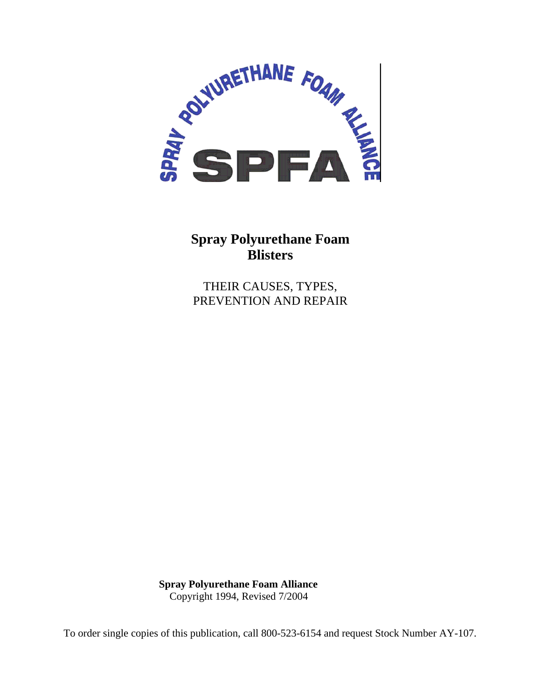

# **Spray Polyurethane Foam Blisters**

THEIR CAUSES, TYPES, PREVENTION AND REPAIR

**Spray Polyurethane Foam Alliance**  Copyright 1994, Revised 7/2004

To order single copies of this publication, call 800-523-6154 and request Stock Number AY-107.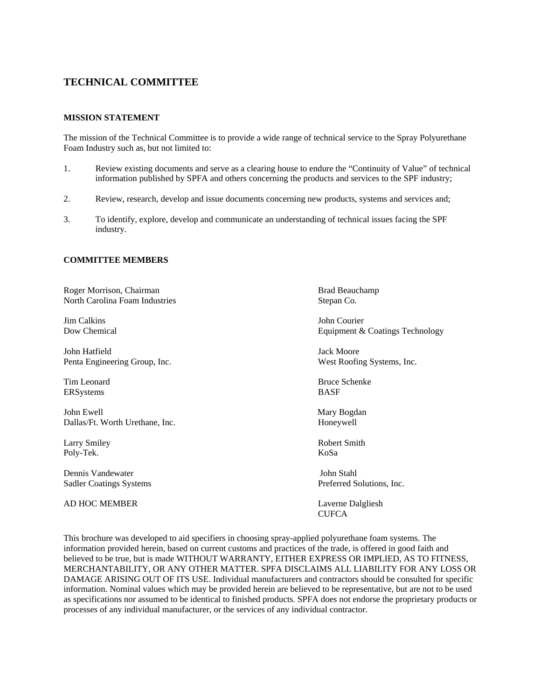# **TECHNICAL COMMITTEE**

#### **MISSION STATEMENT**

The mission of the Technical Committee is to provide a wide range of technical service to the Spray Polyurethane Foam Industry such as, but not limited to:

- 1. Review existing documents and serve as a clearing house to endure the "Continuity of Value" of technical information published by SPFA and others concerning the products and services to the SPF industry;
- 2. Review, research, develop and issue documents concerning new products, systems and services and;
- 3. To identify, explore, develop and communicate an understanding of technical issues facing the SPF industry.

#### **COMMITTEE MEMBERS**

Roger Morrison, Chairman Brad Beauchamp Brad Beauchamp North Carolina Foam Industries Stepan Co.

Jim CalkinsJohn Courier

John Hatfield Jack Moore Penta Engineering Group, Inc. West Roofing Systems, Inc.

ERSystems BASF

John Ewell Mary Bogdan Dallas/Ft. Worth Urethane, Inc. Honeywell

Poly-Tek. KoSa

Dennis Vandewater John Stahl

AD HOC MEMBER Laverne Dalgliesh

Dow Chemical **Equipment & Coatings Technology** 

Tim Leonard Bruce Schenke

Larry Smiley Robert Smith

Sadler Coatings Systems Preferred Solutions, Inc.

**CUFCA** 

This brochure was developed to aid specifiers in choosing spray-applied polyurethane foam systems. The information provided herein, based on current customs and practices of the trade, is offered in good faith and believed to be true, but is made WITHOUT WARRANTY, EITHER EXPRESS OR IMPLIED, AS TO FITNESS, MERCHANTABILITY, OR ANY OTHER MATTER. SPFA DISCLAIMS ALL LIABILITY FOR ANY LOSS OR DAMAGE ARISING OUT OF ITS USE. Individual manufacturers and contractors should be consulted for specific information. Nominal values which may be provided herein are believed to be representative, but are not to be used as specifications nor assumed to be identical to finished products. SPFA does not endorse the proprietary products or processes of any individual manufacturer, or the services of any individual contractor.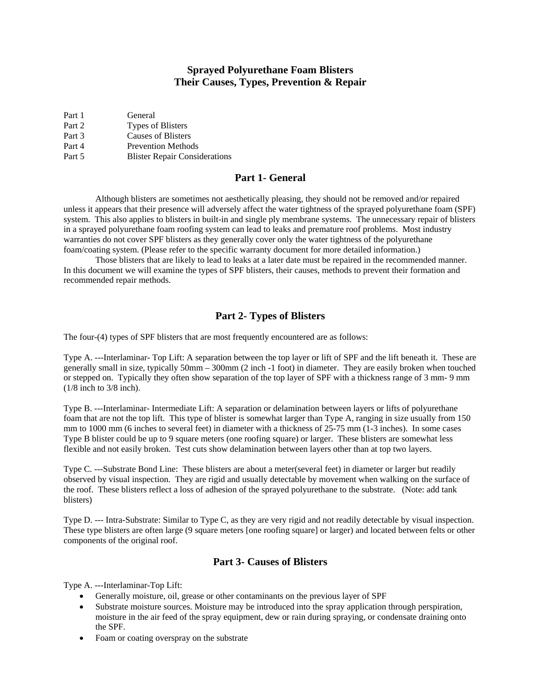# **Sprayed Polyurethane Foam Blisters Their Causes, Types, Prevention & Repair**

| Part 1 | General                              |
|--------|--------------------------------------|
| Part 2 | Types of Blisters                    |
| Part 3 | <b>Causes of Blisters</b>            |
| Part 4 | <b>Prevention Methods</b>            |
| Part 5 | <b>Blister Repair Considerations</b> |

## **Part 1- General**

 Although blisters are sometimes not aesthetically pleasing, they should not be removed and/or repaired unless it appears that their presence will adversely affect the water tightness of the sprayed polyurethane foam (SPF) system. This also applies to blisters in built-in and single ply membrane systems. The unnecessary repair of blisters in a sprayed polyurethane foam roofing system can lead to leaks and premature roof problems. Most industry warranties do not cover SPF blisters as they generally cover only the water tightness of the polyurethane foam/coating system. (Please refer to the specific warranty document for more detailed information.)

 Those blisters that are likely to lead to leaks at a later date must be repaired in the recommended manner. In this document we will examine the types of SPF blisters, their causes, methods to prevent their formation and recommended repair methods.

## **Part 2- Types of Blisters**

The four-(4) types of SPF blisters that are most frequently encountered are as follows:

Type A. ---Interlaminar- Top Lift: A separation between the top layer or lift of SPF and the lift beneath it. These are generally small in size, typically 50mm – 300mm (2 inch -1 foot) in diameter. They are easily broken when touched or stepped on. Typically they often show separation of the top layer of SPF with a thickness range of 3 mm- 9 mm (1/8 inch to 3/8 inch).

Type B. ---Interlaminar- Intermediate Lift: A separation or delamination between layers or lifts of polyurethane foam that are not the top lift. This type of blister is somewhat larger than Type A, ranging in size usually from 150 mm to 1000 mm (6 inches to several feet) in diameter with a thickness of 25-75 mm (1-3 inches). In some cases Type B blister could be up to 9 square meters (one roofing square) or larger. These blisters are somewhat less flexible and not easily broken. Test cuts show delamination between layers other than at top two layers.

Type C. ---Substrate Bond Line: These blisters are about a meter(several feet) in diameter or larger but readily observed by visual inspection. They are rigid and usually detectable by movement when walking on the surface of the roof. These blisters reflect a loss of adhesion of the sprayed polyurethane to the substrate. (Note: add tank blisters)

Type D. --- Intra-Substrate: Similar to Type C, as they are very rigid and not readily detectable by visual inspection. These type blisters are often large (9 square meters [one roofing square] or larger) and located between felts or other components of the original roof.

# **Part 3- Causes of Blisters**

Type A. ---Interlaminar-Top Lift:

- Generally moisture, oil, grease or other contaminants on the previous layer of SPF
- Substrate moisture sources. Moisture may be introduced into the spray application through perspiration, moisture in the air feed of the spray equipment, dew or rain during spraying, or condensate draining onto the SPF.
- Foam or coating overspray on the substrate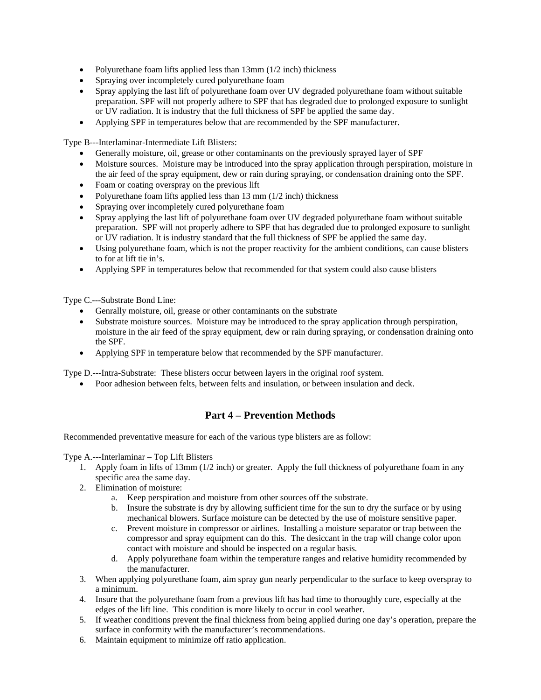- Polyurethane foam lifts applied less than 13mm (1/2 inch) thickness
- Spraying over incompletely cured polyurethane foam
- Spray applying the last lift of polyurethane foam over UV degraded polyurethane foam without suitable preparation. SPF will not properly adhere to SPF that has degraded due to prolonged exposure to sunlight or UV radiation. It is industry that the full thickness of SPF be applied the same day.
- Applying SPF in temperatures below that are recommended by the SPF manufacturer.

Type B---Interlaminar-Intermediate Lift Blisters:

- Generally moisture, oil, grease or other contaminants on the previously sprayed layer of SPF
- Moisture sources. Moisture may be introduced into the spray application through perspiration, moisture in the air feed of the spray equipment, dew or rain during spraying, or condensation draining onto the SPF.
- Foam or coating overspray on the previous lift
- Polyurethane foam lifts applied less than 13 mm (1/2 inch) thickness
- Spraying over incompletely cured polyurethane foam
- Spray applying the last lift of polyurethane foam over UV degraded polyurethane foam without suitable preparation. SPF will not properly adhere to SPF that has degraded due to prolonged exposure to sunlight or UV radiation. It is industry standard that the full thickness of SPF be applied the same day.
- Using polyurethane foam, which is not the proper reactivity for the ambient conditions, can cause blisters to for at lift tie in's.
- Applying SPF in temperatures below that recommended for that system could also cause blisters

Type C.---Substrate Bond Line:

- Genrally moisture, oil, grease or other contaminants on the substrate
- Substrate moisture sources. Moisture may be introduced to the spray application through perspiration, moisture in the air feed of the spray equipment, dew or rain during spraying, or condensation draining onto the SPF.
- Applying SPF in temperature below that recommended by the SPF manufacturer.

Type D.---Intra-Substrate: These blisters occur between layers in the original roof system.

• Poor adhesion between felts, between felts and insulation, or between insulation and deck.

# **Part 4 – Prevention Methods**

Recommended preventative measure for each of the various type blisters are as follow:

Type A.---Interlaminar – Top Lift Blisters

- 1. Apply foam in lifts of 13mm (1/2 inch) or greater. Apply the full thickness of polyurethane foam in any specific area the same day.
- 2. Elimination of moisture:
	- a. Keep perspiration and moisture from other sources off the substrate.
	- b. Insure the substrate is dry by allowing sufficient time for the sun to dry the surface or by using mechanical blowers. Surface moisture can be detected by the use of moisture sensitive paper.
	- c. Prevent moisture in compressor or airlines. Installing a moisture separator or trap between the compressor and spray equipment can do this. The desiccant in the trap will change color upon contact with moisture and should be inspected on a regular basis.
	- d. Apply polyurethane foam within the temperature ranges and relative humidity recommended by the manufacturer.
- 3. When applying polyurethane foam, aim spray gun nearly perpendicular to the surface to keep overspray to a minimum.
- 4. Insure that the polyurethane foam from a previous lift has had time to thoroughly cure, especially at the edges of the lift line. This condition is more likely to occur in cool weather.
- 5. If weather conditions prevent the final thickness from being applied during one day's operation, prepare the surface in conformity with the manufacturer's recommendations.
- 6. Maintain equipment to minimize off ratio application.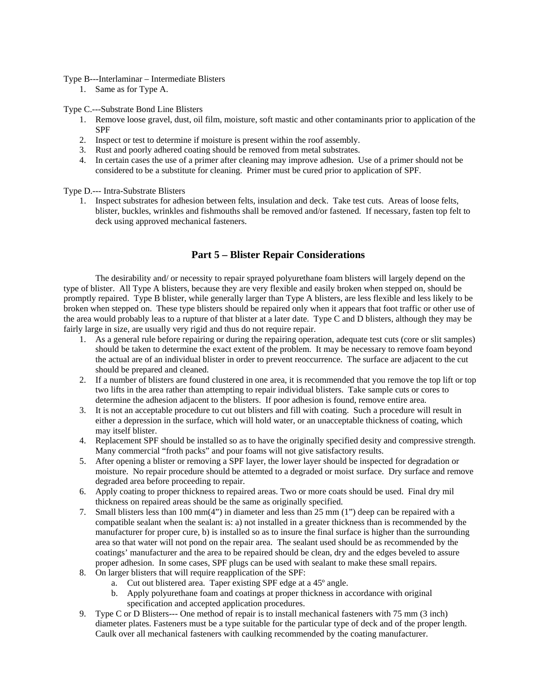#### Type B---Interlaminar – Intermediate Blisters

1. Same as for Type A.

Type C.---Substrate Bond Line Blisters

- 1. Remove loose gravel, dust, oil film, moisture, soft mastic and other contaminants prior to application of the SPF
- 2. Inspect or test to determine if moisture is present within the roof assembly.
- 3. Rust and poorly adhered coating should be removed from metal substrates.
- 4. In certain cases the use of a primer after cleaning may improve adhesion. Use of a primer should not be considered to be a substitute for cleaning. Primer must be cured prior to application of SPF.

Type D.--- Intra-Substrate Blisters

1. Inspect substrates for adhesion between felts, insulation and deck. Take test cuts. Areas of loose felts, blister, buckles, wrinkles and fishmouths shall be removed and/or fastened. If necessary, fasten top felt to deck using approved mechanical fasteners.

## **Part 5 – Blister Repair Considerations**

 The desirability and/ or necessity to repair sprayed polyurethane foam blisters will largely depend on the type of blister. All Type A blisters, because they are very flexible and easily broken when stepped on, should be promptly repaired. Type B blister, while generally larger than Type A blisters, are less flexible and less likely to be broken when stepped on. These type blisters should be repaired only when it appears that foot traffic or other use of the area would probably leas to a rupture of that blister at a later date. Type C and D blisters, although they may be fairly large in size, are usually very rigid and thus do not require repair.

- 1. As a general rule before repairing or during the repairing operation, adequate test cuts (core or slit samples) should be taken to determine the exact extent of the problem. It may be necessary to remove foam beyond the actual are of an individual blister in order to prevent reoccurrence. The surface are adjacent to the cut should be prepared and cleaned.
- 2. If a number of blisters are found clustered in one area, it is recommended that you remove the top lift or top two lifts in the area rather than attempting to repair individual blisters. Take sample cuts or cores to determine the adhesion adjacent to the blisters. If poor adhesion is found, remove entire area.
- 3. It is not an acceptable procedure to cut out blisters and fill with coating. Such a procedure will result in either a depression in the surface, which will hold water, or an unacceptable thickness of coating, which may itself blister.
- 4. Replacement SPF should be installed so as to have the originally specified desity and compressive strength. Many commercial "froth packs" and pour foams will not give satisfactory results.
- 5. After opening a blister or removing a SPF layer, the lower layer should be inspected for degradation or moisture. No repair procedure should be attemted to a degraded or moist surface. Dry surface and remove degraded area before proceeding to repair.
- 6. Apply coating to proper thickness to repaired areas. Two or more coats should be used. Final dry mil thickness on repaired areas should be the same as originally specified.
- 7. Small blisters less than 100 mm(4") in diameter and less than 25 mm (1") deep can be repaired with a compatible sealant when the sealant is: a) not installed in a greater thickness than is recommended by the manufacturer for proper cure, b) is installed so as to insure the final surface is higher than the surrounding area so that water will not pond on the repair area. The sealant used should be as recommended by the coatings' manufacturer and the area to be repaired should be clean, dry and the edges beveled to assure proper adhesion. In some cases, SPF plugs can be used with sealant to make these small repairs.
- 8. On larger blisters that will require reapplication of the SPF:
	- a. Cut out blistered area. Taper existing SPF edge at a 45º angle.
	- b. Apply polyurethane foam and coatings at proper thickness in accordance with original specification and accepted application procedures.
- 9. Type C or D Blisters--- One method of repair is to install mechanical fasteners with 75 mm (3 inch) diameter plates. Fasteners must be a type suitable for the particular type of deck and of the proper length. Caulk over all mechanical fasteners with caulking recommended by the coating manufacturer.